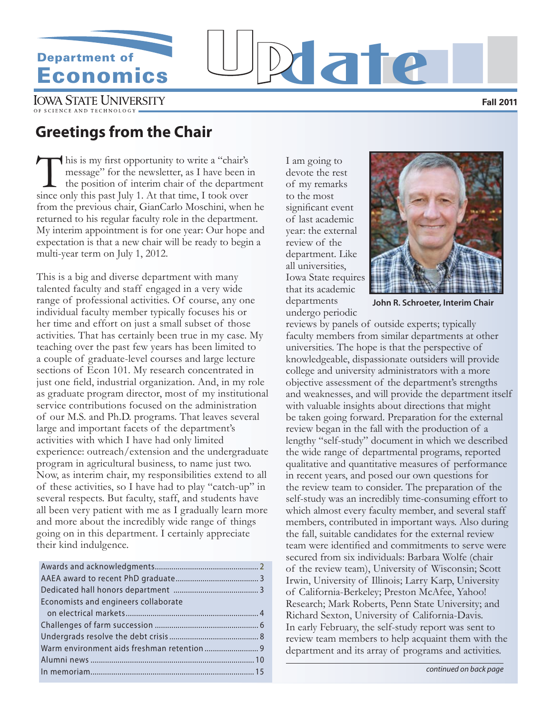# **Department of**

# **Economics** Update UNIVERSITY

**Fall 2011**

# **Greetings from the Chair**

This is my first opportunity to write a "chair's<br>message" for the newsletter, as I have been is<br>the position of interim chair of the departm<br>since only this past July 1. At that time I took over message" for the newsletter, as I have been in the position of interim chair of the department since only this past July 1. At that time, I took over from the previous chair, GianCarlo Moschini, when he returned to his regular faculty role in the department. My interim appointment is for one year: Our hope and expectation is that a new chair will be ready to begin a multi-year term on July 1, 2012.

This is a big and diverse department with many talented faculty and staff engaged in a very wide range of professional activities. Of course, any one individual faculty member typically focuses his or her time and effort on just a small subset of those activities. That has certainly been true in my case. My teaching over the past few years has been limited to a couple of graduate-level courses and large lecture sections of Econ 101. My research concentrated in just one field, industrial organization. And, in my role as graduate program director, most of my institutional service contributions focused on the administration of our M.S. and Ph.D. programs. That leaves several large and important facets of the department's activities with which I have had only limited experience: outreach/extension and the undergraduate program in agricultural business, to name just two. Now, as interim chair, my responsibilities extend to all of these activities, so I have had to play "catch-up" in several respects. But faculty, staff, and students have all been very patient with me as I gradually learn more and more about the incredibly wide range of things going on in this department. I certainly appreciate their kind indulgence.

| Economists and engineers collaborate |  |
|--------------------------------------|--|
|                                      |  |
|                                      |  |
|                                      |  |
|                                      |  |
|                                      |  |
|                                      |  |
|                                      |  |

I am going to devote the rest of my remarks to the most significant event of last academic year: the external review of the department. Like all universities, Iowa State requires that its academic departments undergo periodic



**John R. Schroeter, Interim Chair**

reviews by panels of outside experts; typically faculty members from similar departments at other universities. The hope is that the perspective of knowledgeable, dispassionate outsiders will provide college and university administrators with a more objective assessment of the department's strengths and weaknesses, and will provide the department itself with valuable insights about directions that might be taken going forward. Preparation for the external review began in the fall with the production of a lengthy "self-study" document in which we described the wide range of departmental programs, reported qualitative and quantitative measures of performance in recent years, and posed our own questions for the review team to consider. The preparation of the self-study was an incredibly time-consuming effort to which almost every faculty member, and several staff members, contributed in important ways. Also during the fall, suitable candidates for the external review team were identified and commitments to serve were secured from six individuals: Barbara Wolfe (chair of the review team), University of Wisconsin; Scott Irwin, University of Illinois; Larry Karp, University of California-Berkeley; Preston McAfee, Yahoo! Research; Mark Roberts, Penn State University; and Richard Sexton, University of California-Davis. In early February, the self-study report was sent to review team members to help acquaint them with the department and its array of programs and activities.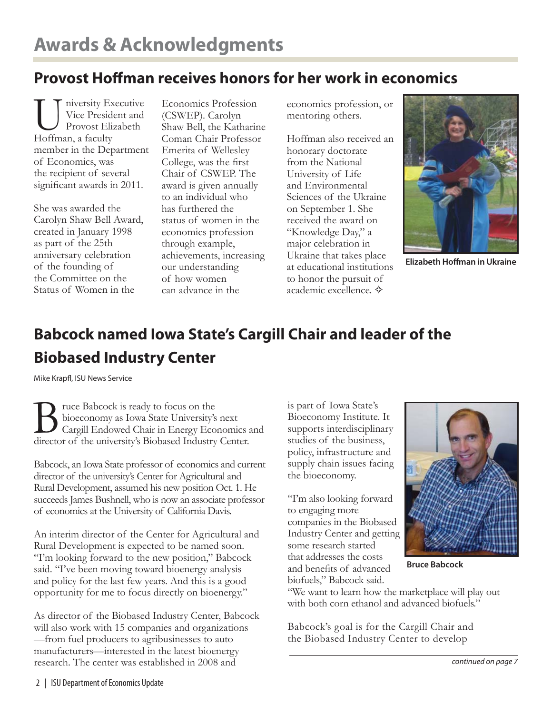# **Provost Hoffman receives honors for her work in economics**

niversity Executive Vice President and Provost Elizabeth Hoffman, a faculty member in the Department of Economics, was the recipient of several significant awards in 2011.

She was awarded the Carolyn Shaw Bell Award, created in January 1998 as part of the 25th anniversary celebration of the founding of the Committee on the Status of Women in the

Economics Profession (CSWEP). Carolyn Shaw Bell, the Katharine Coman Chair Professor Emerita of Wellesley College, was the first Chair of CSWEP. The award is given annually to an individual who has furthered the status of women in the economics profession through example, achievements, increasing our understanding of how women can advance in the

economics profession, or mentoring others.

Hoffman also received an honorary doctorate from the National University of Life and Environmental Sciences of the Ukraine on September 1. She received the award on "Knowledge Day," a major celebration in Ukraine that takes place at educational institutions to honor the pursuit of academic excellence. ✧



**Elizabeth Hoffman in Ukraine** 

# **Babcock named Iowa State's Cargill Chair and leader of the Biobased Industry Center**

Mike Krapfl, ISU News Service

Bruce Babcock is ready to focus on the<br>bioeconomy as Iowa State University's<br>Cargill Endowed Chair in Energy Economies bioeconomy as Iowa State University's next Cargill Endowed Chair in Energy Economics and director of the university's Biobased Industry Center.

Babcock, an Iowa State professor of economics and current director of the university's Center for Agricultural and Rural Development, assumed his new position Oct. 1. He succeeds James Bushnell, who is now an associate professor of economics at the University of California Davis.

An interim director of the Center for Agricultural and Rural Development is expected to be named soon. "I'm looking forward to the new position," Babcock said. "I've been moving toward bioenergy analysis and policy for the last few years. And this is a good opportunity for me to focus directly on bioenergy."

As director of the Biobased Industry Center, Babcock will also work with 15 companies and organizations —from fuel producers to agribusinesses to auto manufacturers—interested in the latest bioenergy research. The center was established in 2008 and

is part of Iowa State's Bioeconomy Institute. It supports interdisciplinary studies of the business, policy, infrastructure and supply chain issues facing the bioeconomy.

"I'm also looking forward to engaging more companies in the Biobased Industry Center and getting some research started that addresses the costs and benefits of advanced biofuels," Babcock said.



**Bruce Babcock**

"We want to learn how the marketplace will play out with both corn ethanol and advanced biofuels."

Babcock's goal is for the Cargill Chair and the Biobased Industry Center to develop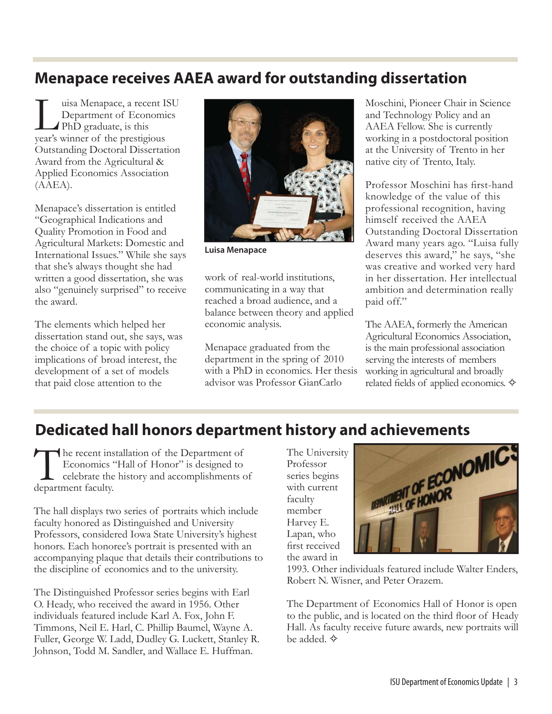# **Menapace receives AAEA award for outstanding dissertation**

uisa Menapace, a recent ISU Department of Economics PhD graduate, is this year's winner of the prestigious Outstanding Doctoral Dissertation Award from the Agricultural & Applied Economics Association (AAEA).

Menapace's dissertation is entitled "Geographical Indications and Quality Promotion in Food and Agricultural Markets: Domestic and International Issues." While she says that she's always thought she had written a good dissertation, she was also "genuinely surprised" to receive the award.

The elements which helped her dissertation stand out, she says, was the choice of a topic with policy implications of broad interest, the development of a set of models that paid close attention to the



**Luisa Menapace**

work of real-world institutions, communicating in a way that reached a broad audience, and a balance between theory and applied economic analysis.

Menapace graduated from the department in the spring of 2010 with a PhD in economics. Her thesis advisor was Professor GianCarlo

Moschini, Pioneer Chair in Science and Technology Policy and an AAEA Fellow. She is currently working in a postdoctoral position at the University of Trento in her native city of Trento, Italy.

Professor Moschini has first-hand knowledge of the value of this professional recognition, having himself received the AAEA Outstanding Doctoral Dissertation Award many years ago. "Luisa fully deserves this award," he says, "she was creative and worked very hard in her dissertation. Her intellectual ambition and determination really paid off."

The AAEA, formerly the American Agricultural Economics Association, is the main professional association serving the interests of members working in agricultural and broadly related fields of applied economics.  $\diamondsuit$ 

The recent installation of the Department of<br>Economics "Hall of Honor" is designed to<br>celebrate the history and accomplishments of<br>department faculty Economics "Hall of Honor" is designed to celebrate the history and accomplishments of department faculty.

The hall displays two series of portraits which include faculty honored as Distinguished and University Professors, considered Iowa State University's highest honors. Each honoree's portrait is presented with an accompanying plaque that details their contributions to the discipline of economics and to the university.

The Distinguished Professor series begins with Earl O. Heady, who received the award in 1956. Other individuals featured include Karl A. Fox, John F. Timmons, Neil E. Harl, C. Phillip Baumel, Wayne A. Fuller, George W. Ladd, Dudley G. Luckett, Stanley R. Johnson, Todd M. Sandler, and Wallace E. Huffman.

The University Professor series begins with current faculty member Harvey E. Lapan, who first received the award in



1993. Other individuals featured include Walter Enders, Robert N. Wisner, and Peter Orazem.

The Department of Economics Hall of Honor is open to the public, and is located on the third floor of Heady Hall. As faculty receive future awards, new portraits will be added. ✧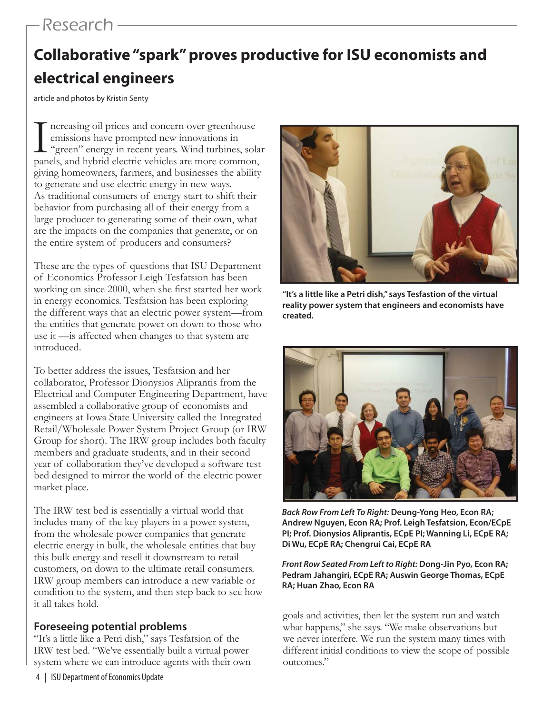# Research

# **Collaborative "spark" proves productive for ISU economists and electrical engineers**

article and photos by Kristin Senty

I ncreasing oil prices and concern over greenhouse<br>
emissions have prompted new innovations in<br>
"green" energy in recent years. Wind turbines, sola<br>
panels, and hybrid electric vehicles are more common, ncreasing oil prices and concern over greenhouse emissions have prompted new innovations in "green" energy in recent years. Wind turbines, solar giving homeowners, farmers, and businesses the ability to generate and use electric energy in new ways. As traditional consumers of energy start to shift their behavior from purchasing all of their energy from a large producer to generating some of their own, what are the impacts on the companies that generate, or on the entire system of producers and consumers?

These are the types of questions that ISU Department of Economics Professor Leigh Tesfatsion has been working on since 2000, when she first started her work in energy economics. Tesfatsion has been exploring the different ways that an electric power system—from the entities that generate power on down to those who use it —is affected when changes to that system are introduced.

To better address the issues, Tesfatsion and her collaborator, Professor Dionysios Aliprantis from the Electrical and Computer Engineering Department, have assembled a collaborative group of economists and engineers at Iowa State University called the Integrated Retail/Wholesale Power System Project Group (or IRW Group for short). The IRW group includes both faculty members and graduate students, and in their second year of collaboration they've developed a software test bed designed to mirror the world of the electric power market place.

The IRW test bed is essentially a virtual world that includes many of the key players in a power system, from the wholesale power companies that generate electric energy in bulk, the wholesale entities that buy this bulk energy and resell it downstream to retail customers, on down to the ultimate retail consumers. IRW group members can introduce a new variable or condition to the system, and then step back to see how it all takes hold.

### **Foreseeing potential problems**

"It's a little like a Petri dish," says Tesfatsion of the IRW test bed. "We've essentially built a virtual power system where we can introduce agents with their own



**"It's a little like a Petri dish," says Tesfastion of the virtual reality power system that engineers and economists have created.**



*Back Row From Left To Right:* **Deung-Yong Heo, Econ RA; Andrew Nguyen, Econ RA; Prof. Leigh Tesfatsion, Econ/ECpE PI; Prof. Dionysios Aliprantis, ECpE PI; Wanning Li, ECpE RA; Di Wu, ECpE RA; Chengrui Cai, ECpE RA**

*Front Row Seated From Left to Right:* **Dong-Jin Pyo, Econ RA; Pedram Jahangiri, ECpE RA; Auswin George Thomas, ECpE RA; Huan Zhao, Econ RA** 

goals and activities, then let the system run and watch what happens," she says. "We make observations but we never interfere. We run the system many times with different initial conditions to view the scope of possible outcomes."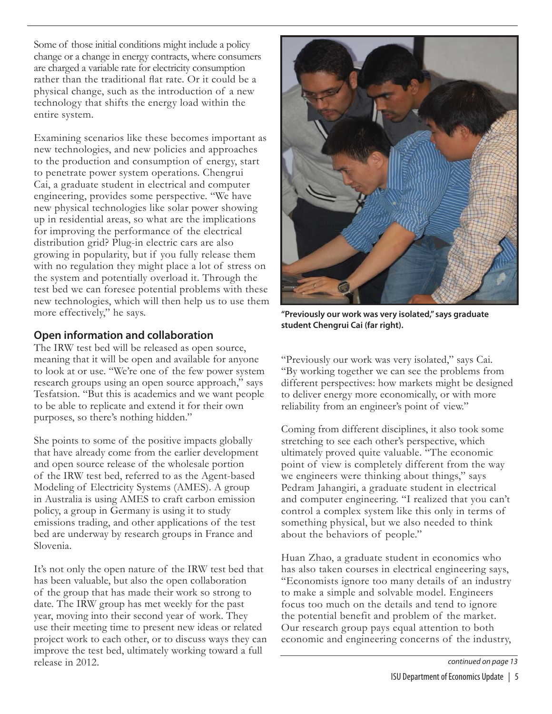Some of those initial conditions might include a policy change or a change in energy contracts, where consumers are charged a variable rate for electricity consumption rather than the traditional flat rate. Or it could be a physical change, such as the introduction of a new technology that shifts the energy load within the entire system.

Examining scenarios like these becomes important as new technologies, and new policies and approaches to the production and consumption of energy, start to penetrate power system operations. Chengrui Cai, a graduate student in electrical and computer engineering, provides some perspective. "We have new physical technologies like solar power showing up in residential areas, so what are the implications for improving the performance of the electrical distribution grid? Plug-in electric cars are also growing in popularity, but if you fully release them with no regulation they might place a lot of stress on the system and potentially overload it. Through the test bed we can foresee potential problems with these new technologies, which will then help us to use them more effectively," he says.

### **Open information and collaboration**

The IRW test bed will be released as open source, meaning that it will be open and available for anyone to look at or use. "We're one of the few power system research groups using an open source approach," says Tesfatsion. "But this is academics and we want people to be able to replicate and extend it for their own purposes, so there's nothing hidden."

She points to some of the positive impacts globally that have already come from the earlier development and open source release of the wholesale portion of the IRW test bed, referred to as the Agent-based Modeling of Electricity Systems (AMES). A group in Australia is using AMES to craft carbon emission policy, a group in Germany is using it to study emissions trading, and other applications of the test bed are underway by research groups in France and Slovenia.

It's not only the open nature of the IRW test bed that has been valuable, but also the open collaboration of the group that has made their work so strong to date. The IRW group has met weekly for the past year, moving into their second year of work. They use their meeting time to present new ideas or related project work to each other, or to discuss ways they can improve the test bed, ultimately working toward a full release in 2012.



**"Previously our work was very isolated," says graduate student Chengrui Cai (far right).**

"Previously our work was very isolated," says Cai. "By working together we can see the problems from different perspectives: how markets might be designed to deliver energy more economically, or with more reliability from an engineer's point of view."

Coming from different disciplines, it also took some stretching to see each other's perspective, which ultimately proved quite valuable. "The economic point of view is completely different from the way we engineers were thinking about things," says Pedram Jahangiri, a graduate student in electrical and computer engineering. "I realized that you can't control a complex system like this only in terms of something physical, but we also needed to think about the behaviors of people."

Huan Zhao, a graduate student in economics who has also taken courses in electrical engineering says, "Economists ignore too many details of an industry to make a simple and solvable model. Engineers focus too much on the details and tend to ignore the potential benefit and problem of the market. Our research group pays equal attention to both economic and engineering concerns of the industry,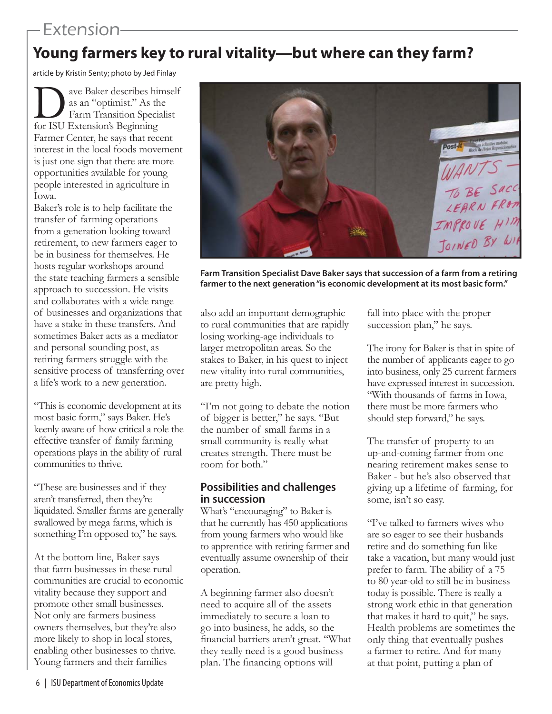# Extension

# **Young farmers key to rural vitality—but where can they farm?**

article by Kristin Senty; photo by Jed Finlay

ave Baker describes himself as an "optimist." As the Farm Transition Specialist for ISU Extension's Beginning Farmer Center, he says that recent interest in the local foods movement is just one sign that there are more opportunities available for young people interested in agriculture in Iowa.

Baker's role is to help facilitate the transfer of farming operations from a generation looking toward retirement, to new farmers eager to be in business for themselves. He hosts regular workshops around the state teaching farmers a sensible approach to succession. He visits and collaborates with a wide range of businesses and organizations that have a stake in these transfers. And sometimes Baker acts as a mediator and personal sounding post, as retiring farmers struggle with the sensitive process of transferring over a life's work to a new generation.

"This is economic development at its most basic form," says Baker. He's keenly aware of how critical a role the effective transfer of family farming operations plays in the ability of rural communities to thrive.

"These are businesses and if they aren't transferred, then they're liquidated. Smaller farms are generally swallowed by mega farms, which is something I'm opposed to," he says.

At the bottom line, Baker says that farm businesses in these rural communities are crucial to economic vitality because they support and promote other small businesses. Not only are farmers business owners themselves, but they're also more likely to shop in local stores, enabling other businesses to thrive. Young farmers and their families



**Farm Transition Specialist Dave Baker says that succession of a farm from a retiring farmer to the next generation "is economic development at its most basic form."**

also add an important demographic to rural communities that are rapidly losing working-age individuals to larger metropolitan areas. So the stakes to Baker, in his quest to inject new vitality into rural communities, are pretty high.

"I'm not going to debate the notion of bigger is better," he says. "But the number of small farms in a small community is really what creates strength. There must be room for both."

### **Possibilities and challenges in succession**

What's "encouraging" to Baker is that he currently has 450 applications from young farmers who would like to apprentice with retiring farmer and eventually assume ownership of their operation.

A beginning farmer also doesn't need to acquire all of the assets immediately to secure a loan to go into business, he adds, so the financial barriers aren't great. "What they really need is a good business plan. The financing options will

fall into place with the proper succession plan," he says.

The irony for Baker is that in spite of the number of applicants eager to go into business, only 25 current farmers have expressed interest in succession. "With thousands of farms in Iowa, there must be more farmers who should step forward," he says.

The transfer of property to an up-and-coming farmer from one nearing retirement makes sense to Baker - but he's also observed that giving up a lifetime of farming, for some, isn't so easy.

"I've talked to farmers wives who are so eager to see their husbands retire and do something fun like take a vacation, but many would just prefer to farm. The ability of a 75 to 80 year-old to still be in business today is possible. There is really a strong work ethic in that generation that makes it hard to quit," he says. Health problems are sometimes the only thing that eventually pushes a farmer to retire. And for many at that point, putting a plan of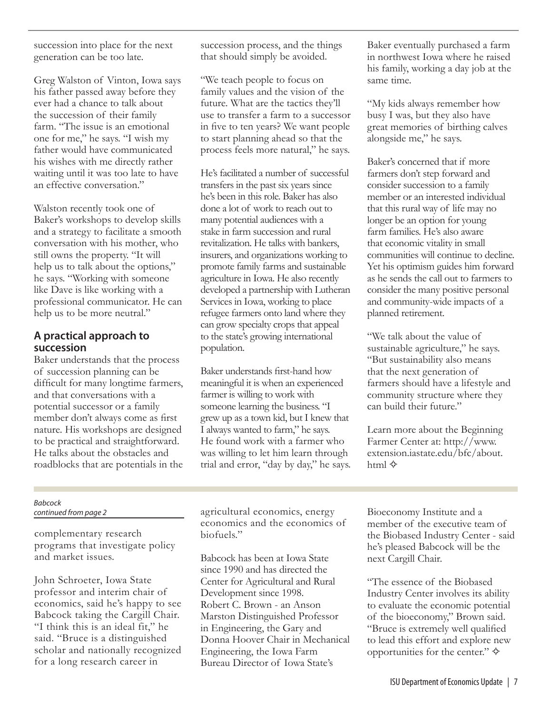succession into place for the next generation can be too late.

Greg Walston of Vinton, Iowa says his father passed away before they ever had a chance to talk about the succession of their family farm. "The issue is an emotional one for me," he says. "I wish my father would have communicated his wishes with me directly rather waiting until it was too late to have an effective conversation."

Walston recently took one of Baker's workshops to develop skills and a strategy to facilitate a smooth conversation with his mother, who still owns the property. "It will help us to talk about the options," he says. "Working with someone like Dave is like working with a professional communicator. He can help us to be more neutral."

### **A practical approach to succession**

Baker understands that the process of succession planning can be difficult for many longtime farmers, and that conversations with a potential successor or a family member don't always come as first nature. His workshops are designed to be practical and straightforward. He talks about the obstacles and roadblocks that are potentials in the succession process, and the things that should simply be avoided.

"We teach people to focus on family values and the vision of the future. What are the tactics they'll use to transfer a farm to a successor in five to ten years? We want people to start planning ahead so that the process feels more natural," he says.

He's facilitated a number of successful transfers in the past six years since he's been in this role. Baker has also done a lot of work to reach out to many potential audiences with a stake in farm succession and rural revitalization. He talks with bankers, insurers, and organizations working to promote family farms and sustainable agriculture in Iowa. He also recently developed a partnership with Lutheran Services in Iowa, working to place refugee farmers onto land where they can grow specialty crops that appeal to the state's growing international population.

Baker understands first-hand how meaningful it is when an experienced farmer is willing to work with someone learning the business. "I grew up as a town kid, but I knew that I always wanted to farm," he says. He found work with a farmer who was willing to let him learn through trial and error, "day by day," he says.

Baker eventually purchased a farm in northwest Iowa where he raised his family, working a day job at the same time.

"My kids always remember how busy I was, but they also have great memories of birthing calves alongside me," he says.

Baker's concerned that if more farmers don't step forward and consider succession to a family member or an interested individual that this rural way of life may no longer be an option for young farm families. He's also aware that economic vitality in small communities will continue to decline. Yet his optimism guides him forward as he sends the call out to farmers to consider the many positive personal and community-wide impacts of a planned retirement.

"We talk about the value of sustainable agriculture," he says. "But sustainability also means that the next generation of farmers should have a lifestyle and community structure where they can build their future."

Learn more about the Beginning Farmer Center at: http://www. extension.iastate.edu/bfc/about. html  $\diamond$ 

### *Babcock continued from page 2*

complementary research programs that investigate policy and market issues.

John Schroeter, Iowa State professor and interim chair of economics, said he's happy to see Babcock taking the Cargill Chair. "I think this is an ideal fit," he said. "Bruce is a distinguished scholar and nationally recognized for a long research career in

agricultural economics, energy economics and the economics of biofuels."

Babcock has been at Iowa State since 1990 and has directed the Center for Agricultural and Rural Development since 1998. Robert C. Brown - an Anson Marston Distinguished Professor in Engineering, the Gary and Donna Hoover Chair in Mechanical Engineering, the Iowa Farm Bureau Director of Iowa State's

Bioeconomy Institute and a member of the executive team of the Biobased Industry Center - said he's pleased Babcock will be the next Cargill Chair.

"The essence of the Biobased Industry Center involves its ability to evaluate the economic potential of the bioeconomy," Brown said. "Bruce is extremely well qualified to lead this effort and explore new opportunities for the center."  $\diamond$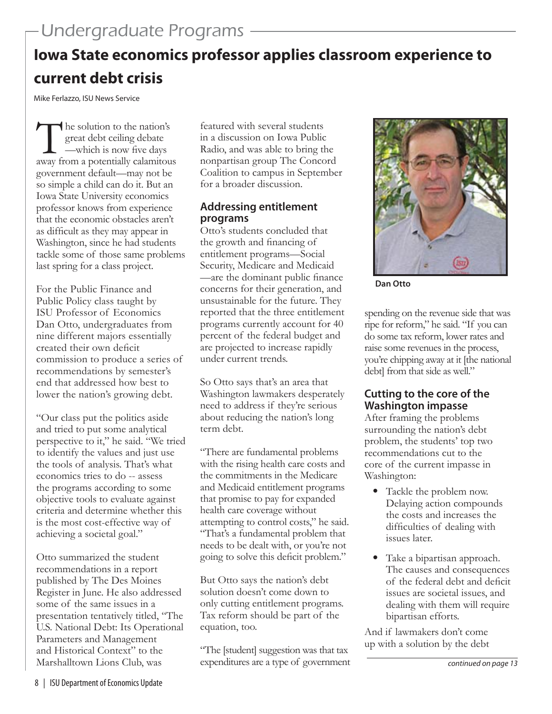# **Iowa State economics professor applies classroom experience to current debt crisis**

Mike Ferlazzo, ISU News Service

The solution to the nation's<br>great debt ceiling debate<br>way from a potentially calamitour great debt ceiling debate —which is now five days away from a potentially calamitous government default—may not be so simple a child can do it. But an Iowa State University economics professor knows from experience that the economic obstacles aren't as difficult as they may appear in Washington, since he had students tackle some of those same problems last spring for a class project.

For the Public Finance and Public Policy class taught by ISU Professor of Economics Dan Otto, undergraduates from nine different majors essentially created their own deficit commission to produce a series of recommendations by semester's end that addressed how best to lower the nation's growing debt.

"Our class put the politics aside and tried to put some analytical perspective to it," he said. "We tried to identify the values and just use the tools of analysis. That's what economics tries to do -- assess the programs according to some objective tools to evaluate against criteria and determine whether this is the most cost-effective way of achieving a societal goal."

Otto summarized the student recommendations in a report published by The Des Moines Register in June. He also addressed some of the same issues in a presentation tentatively titled, "The U.S. National Debt: Its Operational Parameters and Management and Historical Context" to the Marshalltown Lions Club, was

featured with several students in a discussion on Iowa Public Radio, and was able to bring the nonpartisan group The Concord Coalition to campus in September for a broader discussion.

### **Addressing entitlement programs**

Otto's students concluded that the growth and financing of entitlement programs—Social Security, Medicare and Medicaid —are the dominant public finance concerns for their generation, and unsustainable for the future. They reported that the three entitlement programs currently account for 40 percent of the federal budget and are projected to increase rapidly under current trends.

So Otto says that's an area that Washington lawmakers desperately need to address if they're serious about reducing the nation's long term debt.

"There are fundamental problems with the rising health care costs and the commitments in the Medicare and Medicaid entitlement programs that promise to pay for expanded health care coverage without attempting to control costs," he said. "That's a fundamental problem that needs to be dealt with, or you're not going to solve this deficit problem."

But Otto says the nation's debt solution doesn't come down to only cutting entitlement programs. Tax reform should be part of the equation, too.

"The [student] suggestion was that tax expenditures are a type of government



**Dan Otto**

spending on the revenue side that was ripe for reform," he said. "If you can do some tax reform, lower rates and raise some revenues in the process, you're chipping away at it [the national debt] from that side as well."

### **Cutting to the core of the Washington impasse**

After framing the problems surrounding the nation's debt problem, the students' top two recommendations cut to the core of the current impasse in Washington:

- Tackle the problem now. Delaying action compounds the costs and increases the difficulties of dealing with issues later.
- Take a bipartisan approach. The causes and consequences of the federal debt and deficit issues are societal issues, and dealing with them will require bipartisan efforts.

And if lawmakers don't come up with a solution by the debt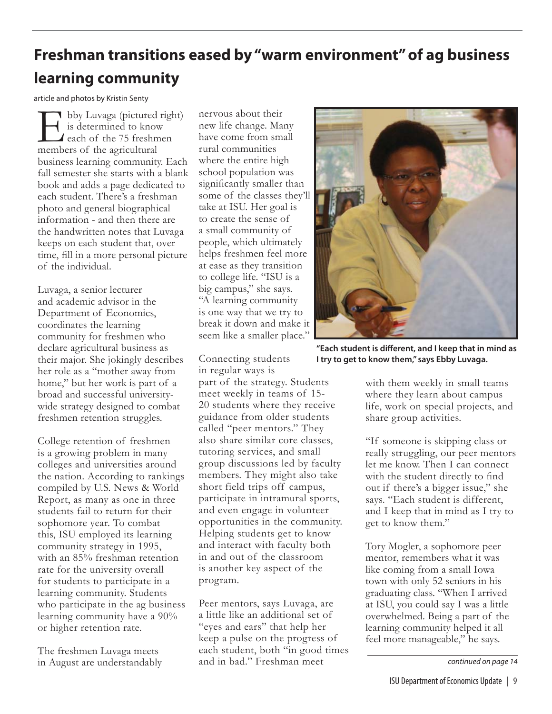# **Freshman transitions eased by "warm environment" of ag business learning community**

article and photos by Kristin Senty

**T** bby Luvaga (pictured right) is determined to know each of the 75 freshmen members of the agricultural business learning community. Each fall semester she starts with a blank book and adds a page dedicated to each student. There's a freshman photo and general biographical information - and then there are the handwritten notes that Luvaga keeps on each student that, over time, fill in a more personal picture of the individual.

Luvaga, a senior lecturer and academic advisor in the Department of Economics, coordinates the learning community for freshmen who declare agricultural business as their major. She jokingly describes her role as a "mother away from home," but her work is part of a broad and successful universitywide strategy designed to combat freshmen retention struggles.

College retention of freshmen is a growing problem in many colleges and universities around the nation. According to rankings compiled by U.S. News & World Report, as many as one in three students fail to return for their sophomore year. To combat this, ISU employed its learning community strategy in 1995, with an 85% freshman retention rate for the university overall for students to participate in a learning community. Students who participate in the ag business learning community have a 90% or higher retention rate.

The freshmen Luvaga meets in August are understandably

nervous about their new life change. Many have come from small rural communities where the entire high school population was significantly smaller than some of the classes they'll take at ISU. Her goal is to create the sense of a small community of people, which ultimately helps freshmen feel more at ease as they transition to college life. "ISU is a big campus," she says. "A learning community is one way that we try to break it down and make it seem like a smaller place."

Connecting students in regular ways is

part of the strategy. Students meet weekly in teams of 15- 20 students where they receive guidance from older students called "peer mentors." They also share similar core classes, tutoring services, and small group discussions led by faculty members. They might also take short field trips off campus, participate in intramural sports, and even engage in volunteer opportunities in the community. Helping students get to know and interact with faculty both in and out of the classroom is another key aspect of the program.

Peer mentors, says Luvaga, are a little like an additional set of "eyes and ears" that help her keep a pulse on the progress of each student, both "in good times and in bad." Freshman meet



"Each student is different, and I keep that in mind as **I try to get to know them," says Ebby Luvaga.**

with them weekly in small teams where they learn about campus life, work on special projects, and share group activities.

"If someone is skipping class or really struggling, our peer mentors let me know. Then I can connect with the student directly to find out if there's a bigger issue," she says. "Each student is different, and I keep that in mind as I try to get to know them."

 Tory Mogler, a sophomore peer mentor, remembers what it was like coming from a small Iowa town with only 52 seniors in his graduating class. "When I arrived at ISU, you could say I was a little overwhelmed. Being a part of the learning community helped it all feel more manageable," he says.

*continued on page 14*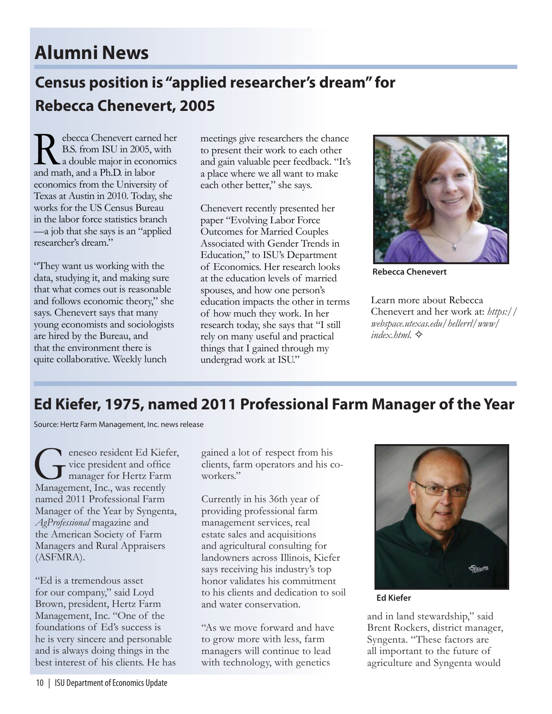# **Alumni News**

# **Census position is "applied researcher's dream" for Rebecca Chenevert, 2005**

Rebecca Chenevert earned her<br>B.S. from ISU in 2005, with<br>a double major in economics<br>and math and a Ph D in labor B.S. from ISU in 2005, with a double major in economics and math, and a Ph.D. in labor economics from the University of Texas at Austin in 2010. Today, she works for the US Census Bureau in the labor force statistics branch —a job that she says is an "applied researcher's dream."

"They want us working with the data, studying it, and making sure that what comes out is reasonable and follows economic theory," she says. Chenevert says that many young economists and sociologists are hired by the Bureau, and that the environment there is quite collaborative. Weekly lunch

meetings give researchers the chance to present their work to each other and gain valuable peer feedback. "It's a place where we all want to make each other better," she says.

Chenevert recently presented her paper "Evolving Labor Force Outcomes for Married Couples Associated with Gender Trends in Education," to ISU's Department of Economics. Her research looks at the education levels of married spouses, and how one person's education impacts the other in terms of how much they work. In her research today, she says that "I still rely on many useful and practical things that I gained through my undergrad work at ISU."



**Rebecca Chenevert**

Learn more about Rebecca Chenevert and her work at: *https:// webspace.utexas.edu/hellerrl/www/ index.html.* ✧

# **Ed Kiefer, 1975, named 2011 Professional Farm Manager of the Year**

Source: Hertz Farm Management, Inc. news release

Geneseo resident Ed Kiefer,<br>
Genesident and office<br>
Management Inc. was recently vice president and office manager for Hertz Farm Management, Inc., was recently named 2011 Professional Farm Manager of the Year by Syngenta, *AgProfessional* magazine and the American Society of Farm Managers and Rural Appraisers (ASFMRA).

"Ed is a tremendous asset for our company," said Loyd Brown, president, Hertz Farm Management, Inc. "One of the foundations of Ed's success is he is very sincere and personable and is always doing things in the best interest of his clients. He has

gained a lot of respect from his clients, farm operators and his coworkers."

Currently in his 36th year of providing professional farm management services, real estate sales and acquisitions and agricultural consulting for landowners across Illinois, Kiefer says receiving his industry's top honor validates his commitment to his clients and dedication to soil and water conservation.

"As we move forward and have to grow more with less, farm managers will continue to lead with technology, with genetics



**Ed Kiefer**

and in land stewardship," said Brent Rockers, district manager, Syngenta. "These factors are all important to the future of agriculture and Syngenta would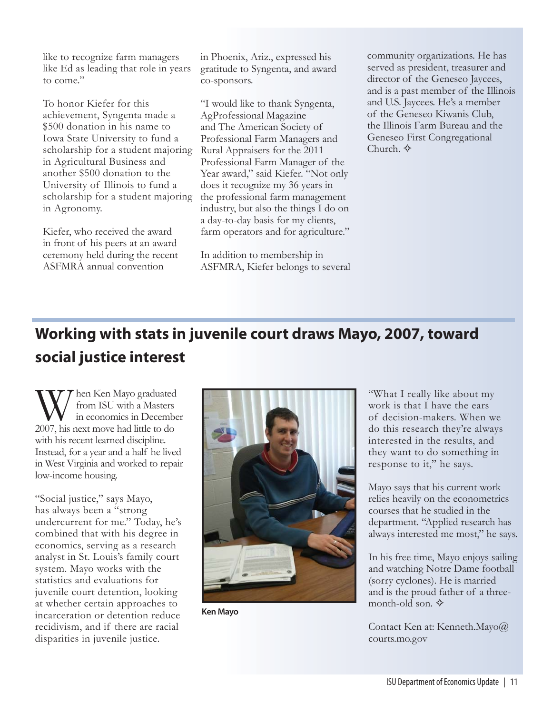like to recognize farm managers like Ed as leading that role in years to come."

To honor Kiefer for this achievement, Syngenta made a \$500 donation in his name to Iowa State University to fund a scholarship for a student majoring in Agricultural Business and another \$500 donation to the University of Illinois to fund a scholarship for a student majoring in Agronomy.

Kiefer, who received the award in front of his peers at an award ceremony held during the recent ASFMRA annual convention

in Phoenix, Ariz., expressed his gratitude to Syngenta, and award co-sponsors.

"I would like to thank Syngenta, AgProfessional Magazine and The American Society of Professional Farm Managers and Rural Appraisers for the 2011 Professional Farm Manager of the Year award," said Kiefer. "Not only does it recognize my 36 years in the professional farm management industry, but also the things I do on a day-to-day basis for my clients, farm operators and for agriculture."

In addition to membership in ASFMRA, Kiefer belongs to several community organizations. He has served as president, treasurer and director of the Geneseo Jaycees, and is a past member of the Illinois and U.S. Jaycees. He's a member of the Geneseo Kiwanis Club, the Illinois Farm Bureau and the Geneseo First Congregational Church. ✧

# **Working with stats in juvenile court draws Mayo, 2007, toward social justice interest**

When Ken Mayo graduated<br>
in economics in Decembe<br>
2007, his next move had little to do from ISU with a Masters in economics in December with his recent learned discipline. Instead, for a year and a half he lived in West Virginia and worked to repair low-income housing.

"Social justice," says Mayo, has always been a "strong undercurrent for me." Today, he's combined that with his degree in economics, serving as a research analyst in St. Louis's family court system. Mayo works with the statistics and evaluations for juvenile court detention, looking at whether certain approaches to incarceration or detention reduce recidivism, and if there are racial disparities in juvenile justice.



**Ken Mayo**

"What I really like about my work is that I have the ears of decision-makers. When we do this research they're always interested in the results, and they want to do something in response to it," he says.

Mayo says that his current work relies heavily on the econometrics courses that he studied in the department. "Applied research has always interested me most," he says.

In his free time, Mayo enjoys sailing and watching Notre Dame football (sorry cyclones). He is married and is the proud father of a threemonth-old son. ✧

Contact Ken at: Kenneth.Mayo@ courts.mo.gov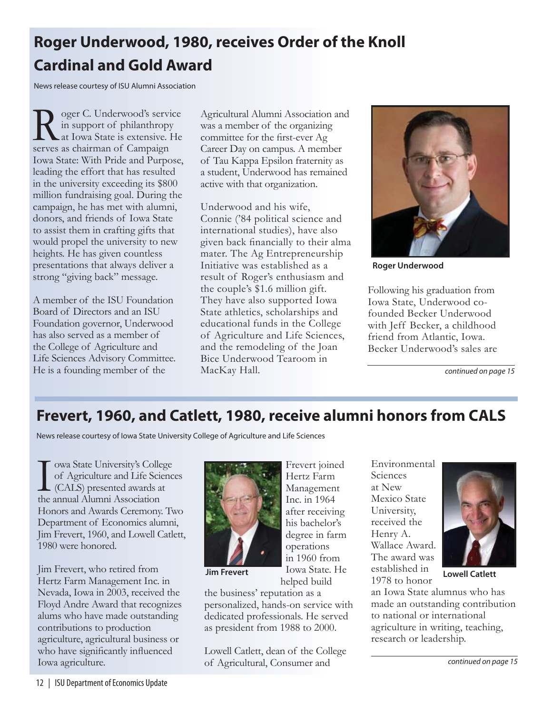# **Roger Underwood, 1980, receives Order of the Knoll Cardinal and Gold Award**

News release courtesy of ISU Alumni Association

Roger C. Underwood's service<br>in support of philanthropy<br>at Iowa State is extensive. He<br>serves as chairman of Campaign in support of philanthropy at Iowa State is extensive. He serves as chairman of Campaign Iowa State: With Pride and Purpose, leading the effort that has resulted in the university exceeding its \$800 million fundraising goal. During the campaign, he has met with alumni, donors, and friends of Iowa State to assist them in crafting gifts that would propel the university to new heights. He has given countless presentations that always deliver a strong "giving back" message.

A member of the ISU Foundation Board of Directors and an ISU Foundation governor, Underwood has also served as a member of the College of Agriculture and Life Sciences Advisory Committee. He is a founding member of the

Agricultural Alumni Association and was a member of the organizing committee for the first-ever Ag Career Day on campus. A member of Tau Kappa Epsilon fraternity as a student, Underwood has remained active with that organization.

Underwood and his wife, Connie ('84 political science and international studies), have also given back financially to their alma mater. The Ag Entrepreneurship Initiative was established as a result of Roger's enthusiasm and the couple's \$1.6 million gift. They have also supported Iowa State athletics, scholarships and educational funds in the College of Agriculture and Life Sciences, and the remodeling of the Joan Bice Underwood Tearoom in MacKay Hall.



**Roger Underwood**

Following his graduation from Iowa State, Underwood cofounded Becker Underwood with Jeff Becker, a childhood friend from Atlantic, Iowa. Becker Underwood's sales are

*continued on page 15*

# **Frevert, 1960, and Catlett, 1980, receive alumni honors from CALS**

News release courtesy of Iowa State University College of Agriculture and Life Sciences

I owa State University's Colle<br>
of Agriculture and Life Scie<br>
(CALS) presented awards a<br>
the annual Alumni Association owa State University's College of Agriculture and Life Sciences (CALS) presented awards at Honors and Awards Ceremony. Two Department of Economics alumni, Jim Frevert, 1960, and Lowell Catlett, 1980 were honored.

Jim Frevert, who retired from Hertz Farm Management Inc. in Nevada, Iowa in 2003, received the Floyd Andre Award that recognizes alums who have made outstanding contributions to production agriculture, agricultural business or who have significantly influenced Iowa agriculture.



Frevert joined Hertz Farm Management Inc. in 1964 after receiving his bachelor's degree in farm operations in 1960 from Iowa State. He helped build

the business' reputation as a personalized, hands-on service with dedicated professionals. He served as president from 1988 to 2000.

Lowell Catlett, dean of the College of Agricultural, Consumer and

Environmental Sciences at New Mexico State University, received the Henry A. Wallace Award. The award was established in 1978 to honor **Jim Frevert Lowa State. He Consumed in Lowell Catlett** 



an Iowa State alumnus who has made an outstanding contribution to national or international agriculture in writing, teaching, research or leadership.

*continued on page 15*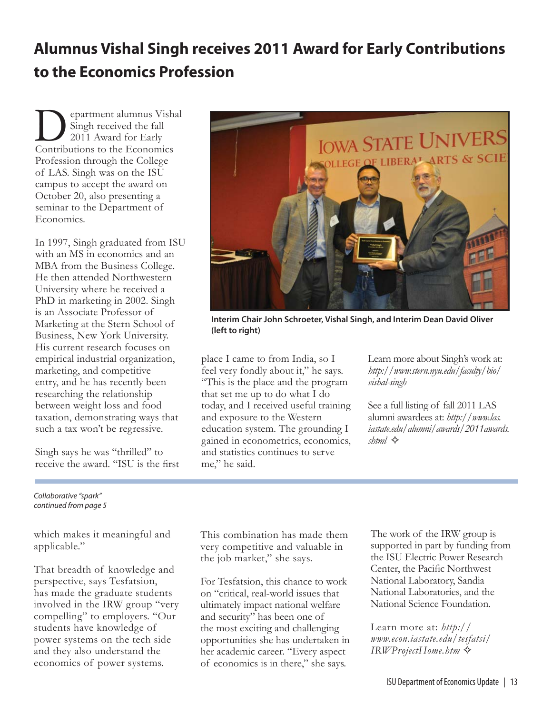# **Alumnus Vishal Singh receives 2011 Award for Early Contributions to the Economics Profession**

epartment alumnus Vishal Singh received the fall 2011 Award for Early Contributions to the Economics Profession through the College of LAS. Singh was on the ISU campus to accept the award on October 20, also presenting a seminar to the Department of Economics.

In 1997, Singh graduated from ISU with an MS in economics and an MBA from the Business College. He then attended Northwestern University where he received a PhD in marketing in 2002. Singh is an Associate Professor of Marketing at the Stern School of Business, New York University. His current research focuses on empirical industrial organization, marketing, and competitive entry, and he has recently been researching the relationship between weight loss and food taxation, demonstrating ways that such a tax won't be regressive.

Singh says he was "thrilled" to receive the award. "ISU is the first



which makes it meaningful and applicable."

That breadth of knowledge and perspective, says Tesfatsion, has made the graduate students involved in the IRW group "very compelling" to employers. "Our students have knowledge of power systems on the tech side and they also understand the economics of power systems.



**Interim Chair John Schroeter, Vishal Singh, and Interim Dean David Oliver (left to right)**

place I came to from India, so I feel very fondly about it," he says. "This is the place and the program that set me up to do what I do today, and I received useful training and exposure to the Western education system. The grounding I gained in econometrics, economics, and statistics continues to serve me," he said.

Learn more about Singh's work at: *http://www.stern.nyu.edu/faculty/bio/ vishal-singh*

See a full listing of fall 2011 LAS alumni awardees at: *http://www.las. iastate.edu/alumni/awards/2011awards. shtml* ✧

This combination has made them very competitive and valuable in the job market," she says.

For Tesfatsion, this chance to work on "critical, real-world issues that ultimately impact national welfare and security" has been one of the most exciting and challenging opportunities she has undertaken in her academic career. "Every aspect of economics is in there," she says.

The work of the IRW group is supported in part by funding from the ISU Electric Power Research Center, the Pacific Northwest National Laboratory, Sandia National Laboratories, and the National Science Foundation.

Learn more at: *http:// www.econ.iastate.edu/tesfatsi/ IRWProjectHome.htm* ✧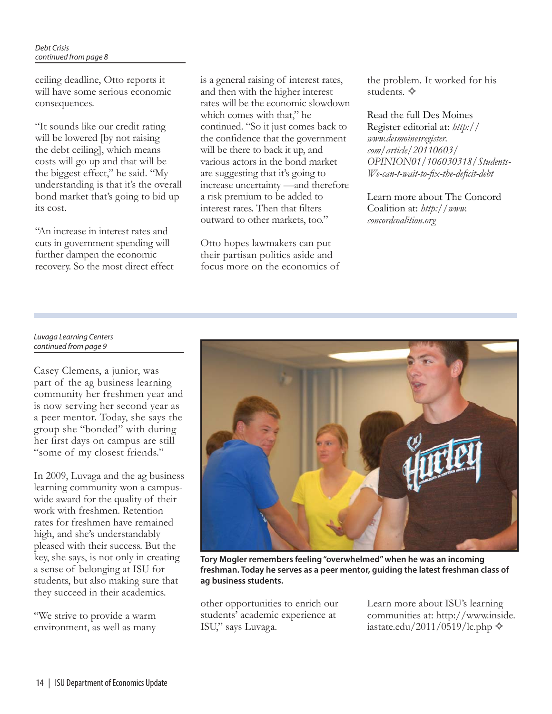ceiling deadline, Otto reports it will have some serious economic consequences.

"It sounds like our credit rating will be lowered [by not raising] the debt ceiling], which means costs will go up and that will be the biggest effect," he said. "My understanding is that it's the overall bond market that's going to bid up its cost.

"An increase in interest rates and cuts in government spending will further dampen the economic recovery. So the most direct effect is a general raising of interest rates, and then with the higher interest rates will be the economic slowdown which comes with that," he continued. "So it just comes back to the confidence that the government will be there to back it up, and various actors in the bond market are suggesting that it's going to increase uncertainty —and therefore a risk premium to be added to interest rates. Then that filters outward to other markets, too."

Otto hopes lawmakers can put their partisan politics aside and focus more on the economics of the problem. It worked for his students. ✧

### Read the full Des Moines

Register editorial at: *http:// www.desmoinesregister. com/article/20110603/ OPINION01/106030318/Students-We-can-t-wait-to-fi x-the-defi cit-debt*

Learn more about The Concord Coalition at: *http://www. concordcoalition.org*

### *Luvaga Learning Centers continued from page 9*

Casey Clemens, a junior, was part of the ag business learning community her freshmen year and is now serving her second year as a peer mentor. Today, she says the group she "bonded" with during her first days on campus are still "some of my closest friends."

In 2009, Luvaga and the ag business learning community won a campuswide award for the quality of their work with freshmen. Retention rates for freshmen have remained high, and she's understandably pleased with their success. But the key, she says, is not only in creating a sense of belonging at ISU for students, but also making sure that they succeed in their academics.

"We strive to provide a warm environment, as well as many



**Tory Mogler remembers feeling "overwhelmed" when he was an incoming freshman. Today he serves as a peer mentor, guiding the latest freshman class of ag business students.**

other opportunities to enrich our students' academic experience at ISU," says Luvaga.

Learn more about ISU's learning communities at: http://www.inside. iastate.edu/2011/0519/lc.php  $\diamondsuit$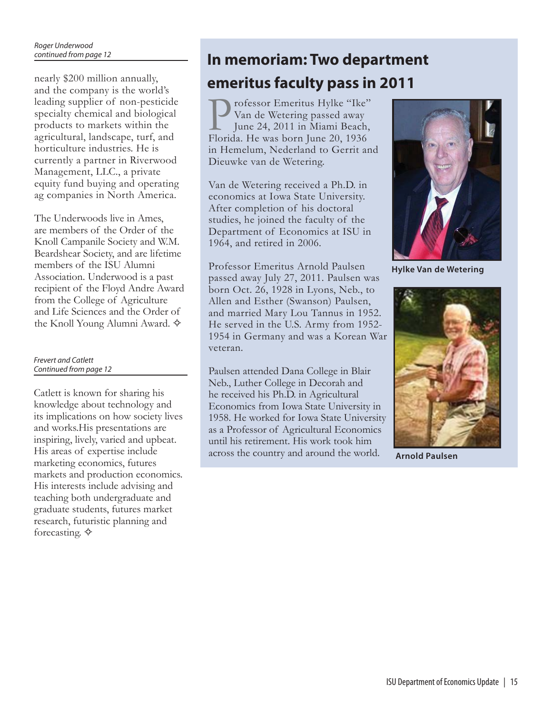and the company is the world's leading supplier of non-pesticide specialty chemical and biological products to markets within the agricultural, landscape, turf, and horticulture industries. He is currently a partner in Riverwood Management, LLC., a private equity fund buying and operating ag companies in North America.

The Underwoods live in Ames, are members of the Order of the Knoll Campanile Society and W.M. Beardshear Society, and are lifetime members of the ISU Alumni Association. Underwood is a past recipient of the Floyd Andre Award from the College of Agriculture and Life Sciences and the Order of the Knoll Young Alumni Award. ✧

### *Frevert and Catlett Continued from page 12*

Catlett is known for sharing his knowledge about technology and its implications on how society lives and works.His presentations are inspiring, lively, varied and upbeat. His areas of expertise include marketing economics, futures markets and production economics. His interests include advising and teaching both undergraduate and graduate students, futures market research, futuristic planning and forecasting. ✧

# **In memoriam: Two department**  nearly \$200 million annually, **emeritus faculty pass in 2011**

rofessor Emeritus Hylke "Ike" Van de Wetering passed away June 24, 2011 in Miami Beach, Florida. He was born June 20, 1936 in Hemelum, Nederland to Gerrit and Dieuwke van de Wetering.

Van de Wetering received a Ph.D. in economics at Iowa State University. After completion of his doctoral studies, he joined the faculty of the Department of Economics at ISU in 1964, and retired in 2006.

Professor Emeritus Arnold Paulsen passed away July 27, 2011. Paulsen was born Oct. 26, 1928 in Lyons, Neb., to Allen and Esther (Swanson) Paulsen, and married Mary Lou Tannus in 1952. He served in the U.S. Army from 1952- 1954 in Germany and was a Korean War veteran.

Paulsen attended Dana College in Blair Neb., Luther College in Decorah and he received his Ph.D. in Agricultural Economics from Iowa State University in 1958. He worked for Iowa State University as a Professor of Agricultural Economics until his retirement. His work took him across the country and around the world.



**Hylke Van de Wetering**



**Arnold Paulsen**